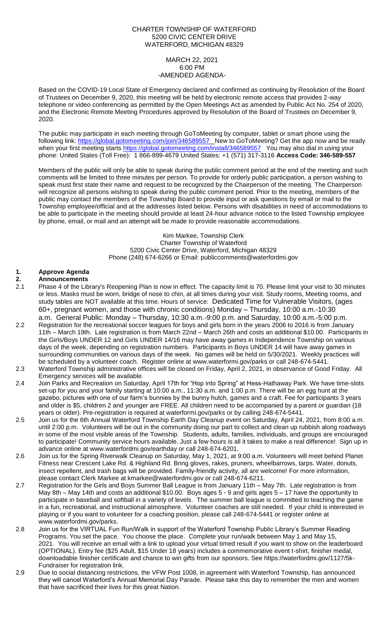## CHARTER TOWNSHIP OF WATERFORD 5200 CIVIC CENTER DRIVE WATERFORD, MICHIGAN 48329

#### MARCH 22, 2021 6:00 PM -AMENDED AGENDA-

Based on the COVID-19 Local State of Emergency declared and confirmed as continuing by Resolution of the Board of Trustees on December 9, 2020, this meeting will be held by electronic remote access that provides 2-way telephone or video conferencing as permitted by the Open Meetings Act as amended by Public Act No. 254 of 2020, and the Electronic Remote Meeting Procedures approved by Resolution of the Board of Trustees on December 9, 2020.

The public may participate in each meeting through GoToMeeting by computer, tablet or smart phone using the following link: [https://global.gotomeeting.com/join/3](https://global.gotomeeting.com/join/)46589557 New to GoToMeeting? Get the app now and be ready when your first meeting starts [https://global.gotomeeting.com/install/3](https://global.gotomeeting.com/install/951034549)46589557 You may also dial in using your phone: United States (Toll Free): 1 866-899-4679 United States: +1 (571) 317-3116 **Access Code: 346-589-557**

Members of the public will only be able to speak during the public comment period at the end of the meeting and such comments will be limited to three minutes per person. To provide for orderly public participation, a person wishing to speak must first state their name and request to be recognized by the Chairperson of the meeting. The Chairperson will recognize all persons wishing to speak during the public comment period. Prior to the meeting, members of the public may contact the members of the Township Board to provide input or ask questions by email or mail to the Township employee/official and at the addresses listed below. Persons with disabilities in need of accommodations to be able to participate in the meeting should provide at least 24-hour advance notice to the listed Township employee by phone, email, or mail and an attempt will be made to provide reasonable accommodations.

> Kim Markee, Township Clerk Charter Township of Waterford 5200 Civic Center Drive, Waterford, Michigan 48329 Phone (248) 674-6266 or Email: [publiccomments@waterfordmi.gov](mailto:publiccomments@waterfordmi.gov)

# **1. Approve Agenda**

- **2. Announcements** 2.1 Phase 4 of the Library's Reopening Plan is now in effect. The capacity limit is 70. Please limit your visit to 30 minutes or less. Masks must be worn, bridge of nose to chin, at all times during your visit. Study rooms, Meeting rooms, and study tables are NOT available at this time. Hours of service: Dedicated Time for Vulnerable Visitors, (ages 60+, pregnant women, and those with chronic conditions) Monday – Thursday, 10:00 a.m.-10:30 a.m. General Public: Monday – Thursday, 10:30 a.m.-9:00 p.m. and Saturday, 10:00 a.m.-5:00 p.m.
- 2.2 Registration for the recreational soccer leagues for boys and girls born in the years 2006 to 2016 is from January 11th – March 19th. Late registration is from March 22nd – March 26th and costs an additional \$10.00. Participants in the Girls/Boys UNDER 12 and Girls UNDER 14/16 may have away games in Independence Township on various days of the week, depending on registration numbers. Participants in Boys UNDER 14 will have away games in surrounding communities on various days of the week. No games will be held on 5/30/2021. Weekly practices will be scheduled by a volunteer coach. Register online at [www.waterformi.gov/parks or call 248-674-5441.](http://www.waterformi.gov/parks%20or%20call%20248-674-5441)
- 2.3 Waterford Township administrative offices will be closed on Friday, April 2, 2021, in observance of Good Friday. All Emergency services will be available.
- 2.4 Join Parks and Recreation on Saturday, April 17th for "Hop into Spring" at Hess-Hathaway Park. We have time-slots set-up for you and your family starting at 10:00 a.m., 11:30 a.m. and 1:00 p.m. There will be an egg hunt at the gazebo, pictures with one of our farm's bunnies by the bunny hutch, games and a craft. Fee for participants 3 years and older is \$5, children 2 and younger are FREE. All children need to be accompanied by a parent or guardian (18 years or older). Pre-registration is required at waterformi.gov/parks or by calling 248-674-5441.
- 2.5 Join us for the 6th Annual Waterford Township Earth Day Cleanup event on Saturday, April 24, 2021, from 8:00 a.m. until 2:00 p.m. Volunteers will be out in the community doing our part to collect and clean up rubbish along roadways in some of the most visible areas of the Township. Students, adults, families, individuals, and groups are encouraged to participate! Community service hours available. Just a few hours is all it takes to make a real difference! Sign up in advance online at www.waterfordmi.gov/earthday or call 248-674-6201.
- 2.6 Join us for the Spring Riverwalk Cleanup on Saturday, May 1, 2021, at 9:00 a.m. Volunteers will meet behind Planet Fitness near Crescent Lake Rd. & Highland Rd. Bring gloves, rakes, pruners, wheelbarrows, tarps. Water, donuts, insect repellent, and trash bags will be provided. Family-friendly activity, all are welcome! For more information, please contact Clerk Markee at kmarkee@waterfordmi.gov or call 248-674-6211.
- 2.7 Registration for the Girls and Boys Summer Ball League is from January 11th May 7th. Late registration is from May 8th – May 14th and costs an additional \$10.00. Boys ages 5 - 9 and girls ages 5 – 17 have the opportunity to participate in baseball and softball in a variety of levels. The summer ball league is committed to teaching the game in a fun, recreational, and instructional atmosphere. Volunteer coaches are still needed. If your child is interested in playing or if you want to volunteer for a coaching position, please call 248-674-5441 or register online at [www.waterfordmi.gov/parks.](http://www.waterfordmi.gov/parks)
- 2.8 Join us for the VIRTUAL Fun Run/Walk in support of the Waterford Township Public Library's Summer Reading Programs. You set the pace. You choose the place. Complete your run/walk between May 1 and May 15, 2021. You will receive an email with a link to upload your virtual timed result if you want to show on the leaderboard (OPTIONAL). Entry fee (\$25 Adult, \$15 Under 18 years) includes a commemorative event t-shirt, finisher medal, downloadable finisher certificate and chance to win gifts from our sponsors. See https://waterfordmi.gov/1127/5k-Fundraiser for registration link.
- 2.9 Due to social distancing restrictions, the VFW Post 1008, in agreement with Waterford Township, has announced they will cancel Waterford's Annual Memorial Day Parade. Please take this day to remember the men and women that have sacrificed their lives for this great Nation.